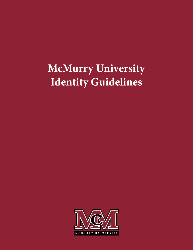# **McMurry University Identity Guidelines**

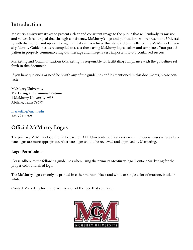# **Introduction**

McMurry University strives to present a clear and consistent image to the public that will embody its mission and values. It is our goal that through consistency, McMurry's logo and publications will represent the University with distinction and uphold its high reputation. To achieve this standard of excellence, the McMurry University Identity Guidelines were compiled to assist those using McMurry logos, colors and templates. Your participation in properly communicating our message and image is very important to our continued success.

Marketing and Communications (Marketing) is responsible for facilitating compliance with the guidelines set forth in this document.

If you have questions or need help with any of the guidelines or files mentioned in this documents, please contact:

**McMurry University Marketing and Communications** 1 McMurry University #938 Abilene, Texas 79697

[marketing@mcm.edu](mailto:marketing%40mcm.edu%20?subject=Identity%20Guidelines) 325-793-4609

# **Official McMurry Logos**

The primary McMurry logo should be used on **ALL** University publications except in special cases where alternate logos are more appropriate. Alternate logos should be reviewed and approved by Marketing.

### **Logo Permissions**

Please adhere to the following guidelines when using the primary McMurry logo. Contact Marketing for the proper color and sized logo.

The McMurry logo can only be printed in either maroon, black and white or single color of maroon, black or white.

Contact Marketing for the correct version of the logo that you need.

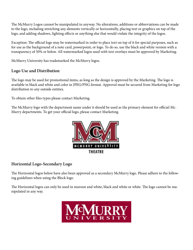The McMurry Logos cannot be manipulated in anyway. No alterations, additions or abbreviations can be made to the logo, including stretching any elements vertically or horizontally, placing text or graphics on top of the logo, and adding shadows, lighting effects or anything else that would violate the integrity of the logos.

Exception: The official logo may be watermarked in order to place text on top of it for special purposes, such as for use as the background of a note card, powerpoint, or logo. To do so, use the black and white version with a transparency of 50% or below. All watermarked logos used with text overlays must be approved by Marketing.

McMurry University has trademarked the McMurry logos.

### **Logo Use and Distribution**

The logo may be used for promotional items, as long as the design is approved by the Marketing. The logo is available in black and white and color in JPEG/PNG format. Approval must be secured from Marketing for logo distribution to any outside entities.

To obtain other files types please contact Marketing.

The McMurry logo with the department name under it should be used as the primary element for official Mc-Murry departments. To get your official logo, please contact Marketing.



### **Horizontal Logo-Secondary Logo**

The Horizontal logos below have also been approved as a secondary McMurry logo. Please adhere to the following guidelines when using the Block logo.

The Horizontal logos can only be used in maroon and white, black and white or white. The logo cannot be manipulated in any way.

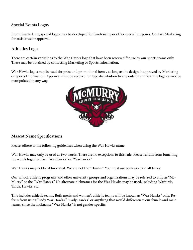### **Special Events Logos**

From time to time, special logos may be developed for fundraising or other special purposes. Contact Marketing for assistance or approval.

### **Athletics Logo**

There are certain variations to the War Hawks logo that have been reserved for use by our sports teams only. These may be obtained by contacting Marketing or Sports Information.

War Hawks logos may be used for print and promotional items, as long as the design is approved by Marketing or Sports Information. Approval must be secured for logo distribution to any outside entities. The logo cannot be manipulated in any way.



### **Mascot Name Specifications**

Please adhere to the following guidelines when using the War Hawks name:

War Hawks may only be used as two words. There are no exceptions to this rule. Please refrain from bunching the words together like: "WarHawks" or "Warhawks."

War Hawks may not be abbreviated. We are not the "Hawks." You must use both words at all times.

Our school, athletic programs and other university groups and organizations may be referred to only as "Mc-Murry" or the "War Hawks." No alternate nicknames for the War Hawks may be used, including Warbirds, 'Birds, Hawks, etc.

This includes athletic teams. Both men's and women's athletic teams will be known as "War Hawks" only. Refrain from using "Lady War Hawks," "Lady Hawks" or anything that would differentiate our female and male teams, since the nickname "War Hawks" is not gender-specific.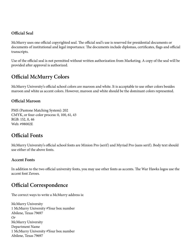### **Official Seal**

McMurry uses one official copyrighted seal. The official seal's use is reserved for presidential documents or documents of institutional and legal importance. The documents include diplomas, certificates, flags and official transcripts.

Use of the official seal is not permitted without written authorization from Marketing. A copy of the seal will be provided after approval is authorized.

### **Official McMurry Colors**

McMurry University's official school colors are maroon and white. It is acceptable to use other colors besides maroon and white as accent colors. However, maroon and white should be the dominant colors represented.

### **Official Maroon**

PMS (Pantone Matching System): 202 CMYK, or four-color process: 0, 100, 61, 43 RGB: 152, 0, 46 Web: #98002E

### **Official Fonts**

McMurry University's official school fonts are Minion Pro (serif) and Myriad Pro (sans serif). Body text should use either of the above fonts.

### **Accent Fonts**

In addition to the two official university fonts, you may use other fonts as accents. The War Hawks logos use the accent font Zeroes.

# **Official Correspondence**

The correct ways to write a McMurry address is:

McMurry University 1 McMurry University #Your box number Abilene, Texas 79697 *Or*  McMurry University Department Name 1 McMurry University #Your box number Abilene, Texas 79697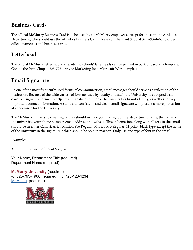### **Business Cards**

The official McMurry Business Card is to be used by all McMurry employees, except for those in the Athletics Department, who should use the Athletics Business Card. Please call the Print Shop at 325-793-4663 to order official nametags and business cards.

# **Letterhead**

The official McMurry letterhead and academic schools' letterheads can be printed in bulk or used as a template. Contac the Print Shop at 325-793-4663 or Marketing for a Microsoft Word template.

# **Email Signature**

As one of the most frequently used forms of communication, email messages should serve as a reflection of the institution. Because of the wide variety of formats used by faculty and staff, the University has adopted a standardized signature format to help email signatures reinforce the University's brand identity, as well as convey important contact information. A standard, consistent, and clean email signature will present a more professional appearance for the University.

The McMurry University email signatures should include your name, job title, department name, the name of the university, your phone number, email address and website. This information, along with all text in the email should be in either Calibri, Arial, Minion Pro Regular, Myriad Pro Regular, 11 point, black type except the name of the university in the signature, which should be bold in maroon. Only use one type of font in the email.

**Example:**

*Minimum number of lines of text five.*

Your Name, Department Title (required) Department Name (required)

**McMurry University** (required) (o) 325-793-4900 (required) | (c) 123-123-1234 [McM.edu](http://McM.edu) (required)

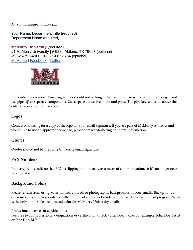*Maximum number of lines six.*

Your Name, Department Title (required) Department Name (required)

**McMurry University** (required) #1 McMurry University | # 938 | Abilene, TX 79697 (optional) (o) 325-793-4900 | © 325-665-1234 (optional) [McM.edu](http://McM.edu) I [Facebook I](https://www.facebook.com/mcmurryuniversity/) [Twitter](https://twitter.com/mcmuniv)



Remember less is more: Email signatures should not be longer than six lines. Go wider rather than longer, and use pipes (|) to separate components. Use a space between content and pipes. The pipe key is located above the enter key on a standard keyboard.

### **Logos**

Contact Marketing for a copy of the logo for your email signature. If you are part of McMurry Athletics and would like to use an approved team logo, please contact Marketing or Sports Information.

### **Quotes**

Quotes should not be used in a University email signature.

### **FAX Numbers**

Industry trends indicate that FAX is slipping in popularity as a mean of communication, so it's no longer necessary to list it.

### **Background Colors**

Please refrain from using watermarked, colored, or photographic backgrounds in your emails. Backgrounds often make your correspondence difficult to read and do not render appropriately in every email program. White is the only admissible background color for McMurry University emails.

#### Professional licenses or certifications

Feel free to add professional designations or certification directly after your name. For example: John Doe, FAIA or Jane Doe, M.B.A.